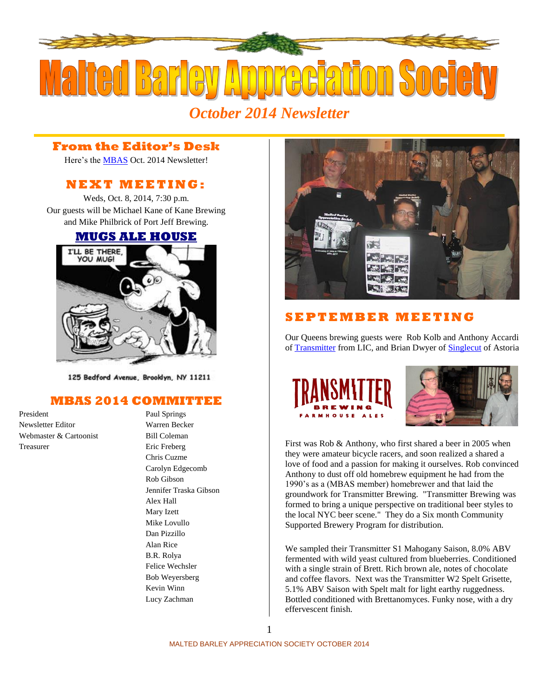

### *October 2014 Newsletter*

#### **From the Editor's Desk**

Here's the [MBAS](http://hbd.org/mbas) Oct. 2014 Newsletter!

#### **N E X T M E ETI N G :**

Weds, Oct. 8, 2014, 7:30 p.m. Our guests will be Michael Kane of Kane Brewing and Mike Philbrick of Port Jeff Brewing.

#### **[MUGS ALE HOUSE](http://www.mugsalehouse.com/)**



125 Bedford Avenue, Brooklyn, NY 11211

#### **MBAS 2014 COMMITTEE**

President Paul Springs Newsletter Editor Warren Becker Webmaster & Cartoonist Bill Coleman Treasurer Eric Freberg

#### Chris Cuzme Carolyn Edgecomb Rob Gibson Jennifer Traska Gibson Alex Hall Mary Izett Mike Lovullo Dan Pizzillo Alan Rice B.R. Rolya Felice Wechsler Bob Weyersberg Kevin Winn Lucy Zachman



#### **S E P T E M B E R M E ETI N G**

Our Queens brewing guests were Rob Kolb and Anthony Accardi of [Transmitter](http://www.transmitterbrewing.com/) from LIC, and Brian Dwyer of **Singlecut** of Astoria





First was Rob & Anthony, who first shared a beer in 2005 when they were amateur bicycle racers, and soon realized a shared a love of food and a passion for making it ourselves. Rob convinced Anthony to dust off old homebrew equipment he had from the 1990's as a (MBAS member) homebrewer and that laid the groundwork for Transmitter Brewing. "Transmitter Brewing was formed to bring a unique perspective on traditional beer styles to the local NYC beer scene." They do a Six month Community Supported Brewery Program for distribution.

We sampled their Transmitter S1 Mahogany Saison, 8.0% ABV fermented with wild yeast cultured from blueberries. Conditioned with a single strain of Brett. Rich brown ale, notes of chocolate and coffee flavors. Next was the Transmitter W2 Spelt Grisette, 5.1% ABV Saison with Spelt malt for light earthy ruggedness. Bottled conditioned with Brettanomyces. Funky nose, with a dry effervescent finish.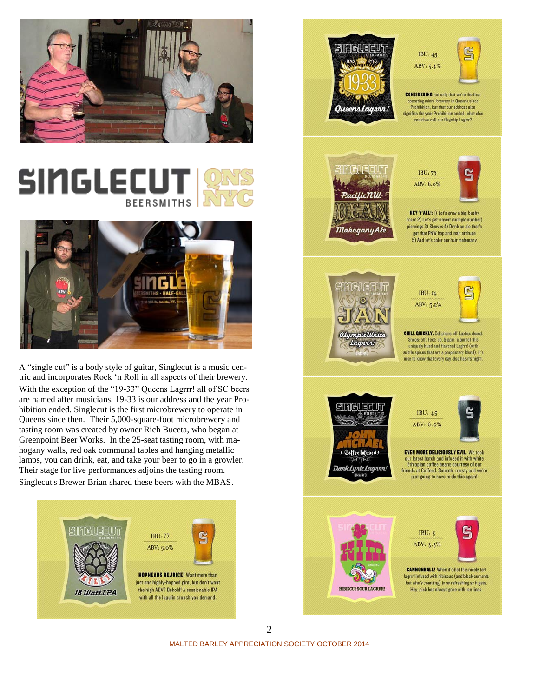

## SINGLECU **BEERSMITHS**



A "single cut" is a body style of guitar, Singlecut is a music centric and incorporates Rock 'n Roll in all aspects of their brewery. With the exception of the "19-33" Queens Lagrrr! all of SC beers are named after musicians. 19-33 is our address and the year Prohibition ended. Singlecut is the first microbrewery to operate in Queens since then. Their 5,000-square-foot microbrewery and tasting room was created by owner Rich Buceta, who began at Greenpoint Beer Works. In the 25-seat tasting room, with mahogany walls, red oak communal tables and hanging metallic lamps, you can drink, eat, and take your beer to go in a growler. Their stage for live performances adjoins the tasting room. Singlecut's Brewer Brian shared these beers with the MBAS.





2

MALTED BARLEY APPRECIATION SOCIETY OCTOBER 2014